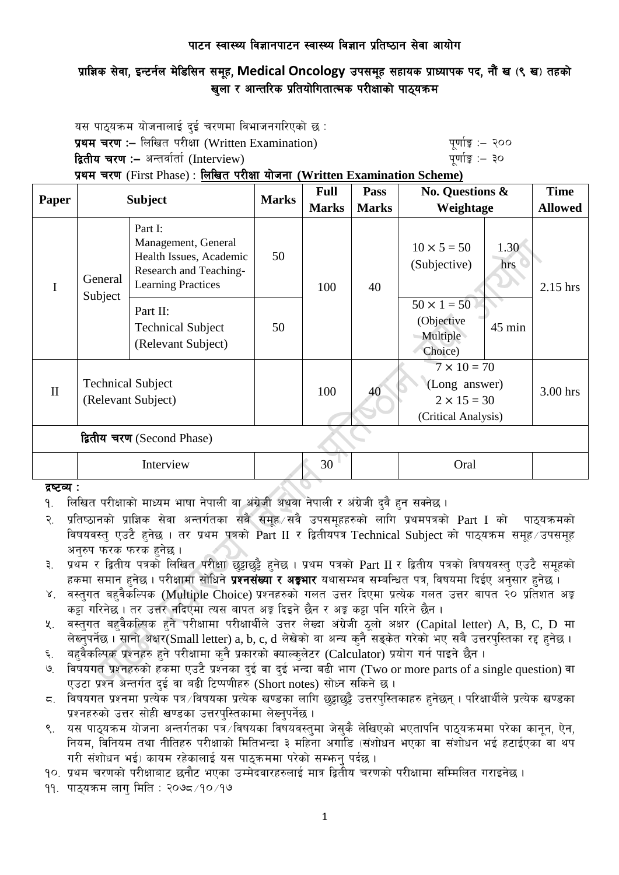## प्राज्ञिक सेवा, इन्टर्नल मेडिसिन समूह, Medical Oncology उपसमूह सहायक प्राध्यापक पद, नौं ख (९ ख) तहको खला र आन्तरिक प्रतियोगितात्मक परीक्षाको पाठयक्रम

यस पाठ्यक्रम योजनालाई दुई चरणमा विभाजनगरिएको छ : प्रथम चरण :– लिखित परीक्षा (Written Examination)  $\frac{d}{dx}$  and  $\frac{d}{dx}$  and  $\frac{d}{dx}$  are  $\frac{d}{dx}$ द्वितीय चरण :– अन्तर्वार्ता (Interview) katalactic metal metal metal metal wind wind  $q$ णांङ्क :– ३० प्रथम चरण (First Phase) : लिखित परीक्षा योजना (Written Examination Scheme)

| <b>Paper</b>               | <b>Subject</b>                                 |                                                                                                                  | <b>Marks</b> | <b>Full</b><br><b>Marks</b> | <b>Pass</b><br><b>Marks</b> | No. Questions &<br>Weightage                                                     |             | <b>Time</b><br><b>Allowed</b> |
|----------------------------|------------------------------------------------|------------------------------------------------------------------------------------------------------------------|--------------|-----------------------------|-----------------------------|----------------------------------------------------------------------------------|-------------|-------------------------------|
| I                          | General<br>Subject                             | Part I:<br>Management, General<br>Health Issues, Academic<br>Research and Teaching-<br><b>Learning Practices</b> | 50           | 100                         | 40                          | $10 \times 5 = 50$<br>(Subjective)                                               | 1.30<br>hrs | 2.15 hrs                      |
|                            |                                                | Part II:<br><b>Technical Subject</b><br>(Relevant Subject)                                                       | 50           |                             |                             | $50 \times 1 = 50$<br>(Objective<br>Multiple<br>Choice)                          | 45 min      |                               |
| $\mathbf{I}$               | <b>Technical Subject</b><br>(Relevant Subject) |                                                                                                                  |              | 100                         | 40                          | $7 \times 10 = 70$<br>(Long answer)<br>$2 \times 15 = 30$<br>(Critical Analysis) |             | 3.00 hrs                      |
| द्वितीय चरण (Second Phase) |                                                |                                                                                                                  |              |                             |                             |                                                                                  |             |                               |
|                            | Interview                                      |                                                                                                                  |              | 30<br>Oral                  |                             |                                                                                  |             |                               |

#### द्रष्टव्य :

- <u>9. लिखित परीक्षाको माध्यम भाषा नेपाली वा अंग्रेजी अथवा नेपाली र अंग्रेजी दुवै हुन सक्नेछ ।</u>
- २. प्रतिष्ठानको प्राज्ञिक सेवा अन्तर्गतका सबै समूह सबै उपसमुहहरुको लागि प्रथमपत्रको Part I को पाठ्यक्रमको विषयवस्तु एउटै हुनेछ । तर प्रथम पत्रको Part II र द्वितीयपत्र Technical Subject को पाठ्यक्रम समूह उपसमूह अनुरुप फरक फरक हुनेछ ।
- ३. प्रथम र द्वितीय पत्रको लिखित परीक्षा छट्टाछट्टै हनेछ । प्रथम पत्रको Part II र द्वितीय पत्रको विषयवस्त् एउटै समुहको हकमा समान हुनेछ । परीक्षामा सोधिने **प्रश्नसंख्या र अङ्गभार** यथासम्भव सम्बन्धित पत्र, विषयमा दिईए अनुसार हुनेछ ।
- ४. वस्तुगत बहुवैकस्पिक (Multiple Choice) प्रश्नहरुको गलत उत्तर दिएमा प्रत्येक गलत उत्तर बापत २० प्रतिशत अङ्क कड़ा गरिनेछ। तर उत्तर नदिएमा त्यस बापत अड़ू दिइने छैन र अड़ू कड़ा पनि गरिने छैन।
- ४. वस्तुगत बहुवैकल्पिक हुने परीक्षामा परीक्षार्थीले उत्तर लेख्दा अंग्रेजी ठूलो अक्षर (Capital letter) A, B, C, D मा लेख्नुपर्नेछ । सानो अक्षर(Small letter) a, b, c, d लेखेको वा अन्य कुनै सङ्केत गरेको भए सबै उत्तरपुस्तिका रद्द हुनेछ ।
- ६. वहुवैकल्पिक प्रश्नहरु हुने परीक्षामा कुनै प्रकारको क्याल्कुलेटर (Calculator) प्रयोग गर्न पाइने छैन ।
- ७. विषयगत प्रश्नहरुको हकमा एउटै प्रश्नका दुई वा दुई भन्दा बढी भाग (Two or more parts of a single question) वा एउटा प्रश्न अन्तर्गत दुई वा बढी टिप्पणीहरु (Short notes) सोध्न सकिने छ।
- $\,$  6. विषयगत प्रश्नमा प्रत्येक पत्र /विषयका प्रत्येक खण्डका लागि छट्टाछट्टै उत्तरपुस्तिकाहरु हुनेछन् । परिक्षार्थीले प्रत्येक खण्डका प्रश्नहरुको उत्तर सोही खण्डका उत्तरपस्तिकामा लेख्नुपर्नेछ ।
- ९. वस पाठ्यक्रम योजना अन्तर्गतका पत्रॅ∕विषयका विषयवस्तुमा जेसुकै लेखिएको भएतापनि पाठ्यक्रममा परेका कानून, ऐन, नियम, विनियम तथा नीतिहरु परीक्षाको मितिभन्दा ३ महिना अगाडि (संशोधन भएका वा संशोधन भई हटाईएका वा थप गरी संशोधन भई) कायम रहेकालाई यस पाठुकममा परेको सम्भन् पर्दछ ।

१०. प्रथम चरणको परीक्षाबाट छनौट भएका उम्मेदवारहरुलाई मात्र द्वितीय चरणको परीक्षामा सम्मिलित गराइनेछ ।

११. पाठुयक्रम लाग मिति : २०७८ ⁄ १० ⁄ १७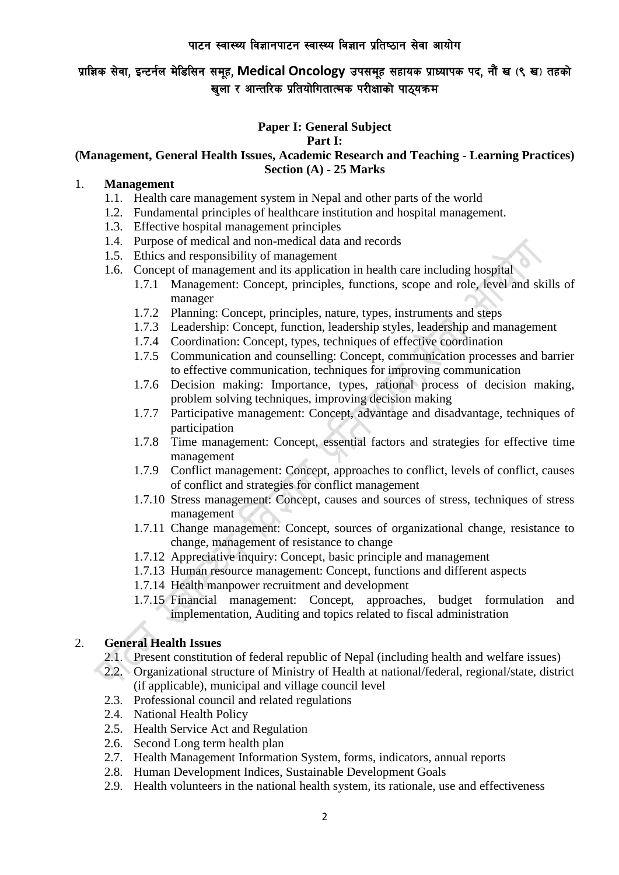प्राज्ञिक सेवा, इन्टर्नल मेडिसिन समूह, Medical Oncology उपसमूह सहायक प्राध्यापक पद, नौं ख (९ ख) तहको खला र आन्तरिक प्रतियोगितात्मक परीक्षाको पाठयक्रम

#### **Paper I: General Subject Part I:**

## **(Management, General Health Issues, Academic Research and Teaching - Learning Practices) Section (A) - 25 Marks**

#### 1. **Management**

- 1.1. Health care management system in Nepal and other parts of the world
- 1.2. Fundamental principles of healthcare institution and hospital management.
- 1.3. Effective hospital management principles
- 1.4. Purpose of medical and non-medical data and records
- 1.5. Ethics and responsibility of management
- 1.6. Concept of management and its application in health care including hospital
	- 1.7.1 Management: Concept, principles, functions, scope and role, level and skills of manager
	- 1.7.2 Planning: Concept, principles, nature, types, instruments and steps
	- 1.7.3 Leadership: Concept, function, leadership styles, leadership and management
	- 1.7.4 Coordination: Concept, types, techniques of effective coordination
	- 1.7.5 Communication and counselling: Concept, communication processes and barrier to effective communication, techniques for improving communication
	- 1.7.6 Decision making: Importance, types, rational process of decision making, problem solving techniques, improving decision making
	- 1.7.7 Participative management: Concept, advantage and disadvantage, techniques of participation
	- 1.7.8 Time management: Concept, essential factors and strategies for effective time management
	- 1.7.9 Conflict management: Concept, approaches to conflict, levels of conflict, causes of conflict and strategies for conflict management
	- 1.7.10 Stress management: Concept, causes and sources of stress, techniques of stress management
	- 1.7.11 Change management: Concept, sources of organizational change, resistance to change, management of resistance to change
	- 1.7.12 Appreciative inquiry: Concept, basic principle and management
	- 1.7.13 Human resource management: Concept, functions and different aspects
	- 1.7.14 Health manpower recruitment and development
	- 1.7.15 Financial management: Concept, approaches, budget formulation and implementation, Auditing and topics related to fiscal administration

## 2. **General Health Issues**

- 2.1. Present constitution of federal republic of Nepal (including health and welfare issues)
- 2.2. Organizational structure of Ministry of Health at national/federal, regional/state, district (if applicable), municipal and village council level
- 2.3. Professional council and related regulations
- 2.4. National Health Policy
- 2.5. Health Service Act and Regulation
- 2.6. Second Long term health plan
- 2.7. Health Management Information System, forms, indicators, annual reports
- 2.8. Human Development Indices, Sustainable Development Goals
- 2.9. Health volunteers in the national health system, its rationale, use and effectiveness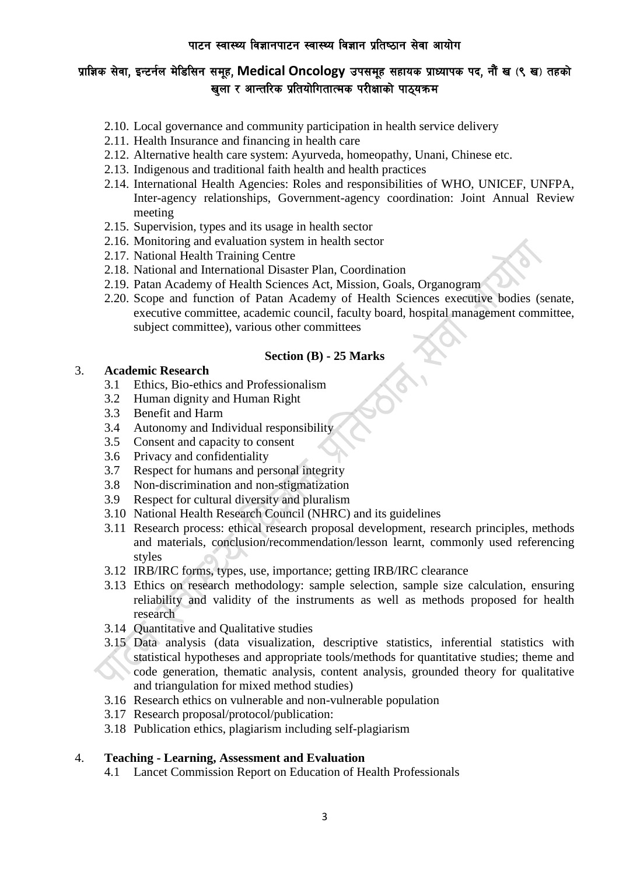# प्राज्ञिक सेवा, इन्टर्नल मेडिसिन समूह, Medical Oncology उपसमूह सहायक प्राध्यापक पद, नौं ख (९ ख) तहको खला र आन्तरिक प्रतियोगितात्मक परीक्षाको पाठयक्रम

- 2.10. Local governance and community participation in health service delivery
- 2.11. Health Insurance and financing in health care
- 2.12. Alternative health care system: Ayurveda, homeopathy, Unani, Chinese etc.
- 2.13. Indigenous and traditional faith health and health practices
- 2.14. International Health Agencies: Roles and responsibilities of WHO, UNICEF, UNFPA, Inter-agency relationships, Government-agency coordination: Joint Annual Review meeting
- 2.15. Supervision, types and its usage in health sector
- 2.16. Monitoring and evaluation system in health sector
- 2.17. National Health Training Centre
- 2.18. National and International Disaster Plan, Coordination
- 2.19. Patan Academy of Health Sciences Act, Mission, Goals, Organogram
- 2.20. Scope and function of Patan Academy of Health Sciences executive bodies (senate, executive committee, academic council, faculty board, hospital management committee, subject committee), various other committees

#### **Section (B) - 25 Marks**

## 3. **Academic Research**

- 3.1 Ethics, Bio-ethics and Professionalism
- 3.2 Human dignity and Human Right
- 3.3 Benefit and Harm
- 3.4 Autonomy and Individual responsibility
- 3.5 Consent and capacity to consent
- 3.6 Privacy and confidentiality
- 3.7 Respect for humans and personal integrity
- 3.8 Non-discrimination and non-stigmatization
- 3.9 Respect for cultural diversity and pluralism
- 3.10 National Health Research Council (NHRC) and its guidelines
- 3.11 Research process: ethical research proposal development, research principles, methods and materials, conclusion/recommendation/lesson learnt, commonly used referencing styles
- 3.12 IRB/IRC forms, types, use, importance; getting IRB/IRC clearance
- 3.13 Ethics on research methodology: sample selection, sample size calculation, ensuring reliability and validity of the instruments as well as methods proposed for health research
- 3.14 Quantitative and Qualitative studies
- 3.15 Data analysis (data visualization, descriptive statistics, inferential statistics with statistical hypotheses and appropriate tools/methods for quantitative studies; theme and code generation, thematic analysis, content analysis, grounded theory for qualitative and triangulation for mixed method studies)
- 3.16 Research ethics on vulnerable and non-vulnerable population
- 3.17 Research proposal/protocol/publication:
- 3.18 Publication ethics, plagiarism including self-plagiarism

#### 4. **Teaching - Learning, Assessment and Evaluation**

4.1 Lancet Commission Report on Education of Health Professionals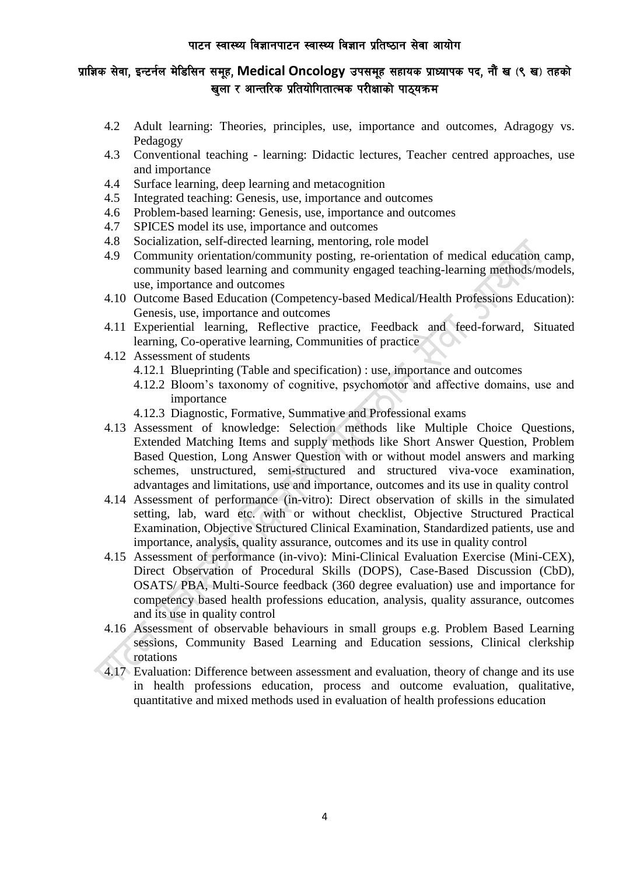## प्राज्ञिक सेवा, इन्टर्नल मेडिसिन समूह, Medical Oncology उपसमूह सहायक प्राध्यापक पद, नौं ख (९ ख) तहको खला र आन्तरिक प्रतियोगितात्मक परीक्षाको पाठयक्रम

- 4.2 Adult learning: Theories, principles, use, importance and outcomes, Adragogy vs. Pedagogy
- 4.3 Conventional teaching learning: Didactic lectures, Teacher centred approaches, use and importance
- 4.4 Surface learning, deep learning and metacognition
- 4.5 Integrated teaching: Genesis, use, importance and outcomes
- 4.6 Problem-based learning: Genesis, use, importance and outcomes
- 4.7 SPICES model its use, importance and outcomes
- 4.8 Socialization, self-directed learning, mentoring, role model
- 4.9 Community orientation/community posting, re-orientation of medical education camp, community based learning and community engaged teaching-learning methods/models, use, importance and outcomes
- 4.10 Outcome Based Education (Competency-based Medical/Health Professions Education): Genesis, use, importance and outcomes
- 4.11 Experiential learning, Reflective practice, Feedback and feed-forward, Situated learning, Co-operative learning, Communities of practice
- 4.12 Assessment of students
	- 4.12.1 Blueprinting (Table and specification) : use, importance and outcomes
	- 4.12.2 Bloom's taxonomy of cognitive, psychomotor and affective domains, use and importance
	- 4.12.3 Diagnostic, Formative, Summative and Professional exams
- 4.13 Assessment of knowledge: Selection methods like Multiple Choice Questions, Extended Matching Items and supply methods like Short Answer Question, Problem Based Question, Long Answer Question with or without model answers and marking schemes, unstructured, semi-structured and structured viva-voce examination, advantages and limitations, use and importance, outcomes and its use in quality control
- 4.14 Assessment of performance (in-vitro): Direct observation of skills in the simulated setting, lab, ward etc. with or without checklist, Objective Structured Practical Examination, Objective Structured Clinical Examination, Standardized patients, use and importance, analysis, quality assurance, outcomes and its use in quality control
- 4.15 Assessment of performance (in-vivo): Mini-Clinical Evaluation Exercise (Mini-CEX), Direct Observation of Procedural Skills (DOPS), Case-Based Discussion (CbD), OSATS/ PBA, Multi-Source feedback (360 degree evaluation) use and importance for competency based health professions education, analysis, quality assurance, outcomes and its use in quality control
- 4.16 Assessment of observable behaviours in small groups e.g. Problem Based Learning sessions, Community Based Learning and Education sessions, Clinical clerkship rotations
- 4.17 Evaluation: Difference between assessment and evaluation, theory of change and its use in health professions education, process and outcome evaluation, qualitative, quantitative and mixed methods used in evaluation of health professions education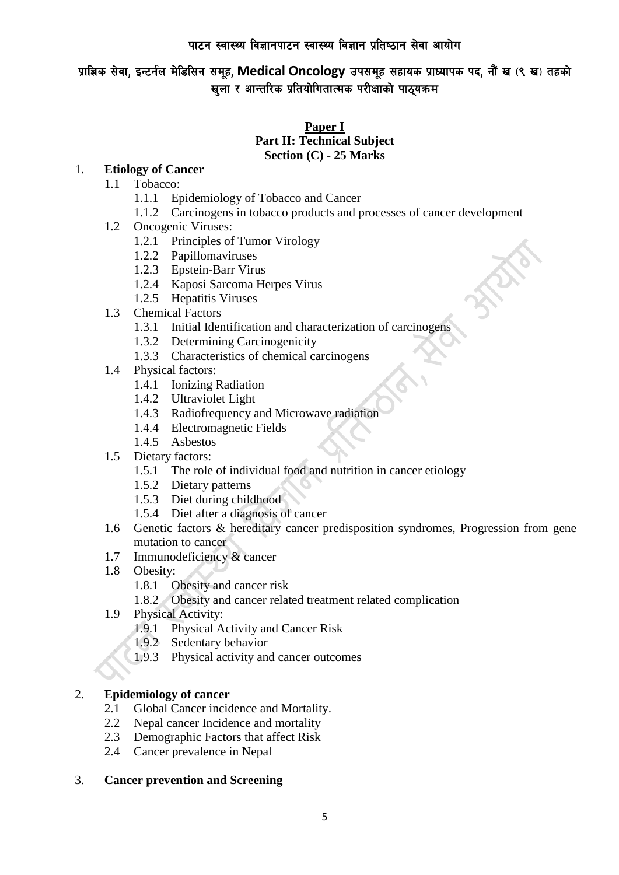प्राज्ञिक सेवा, इन्टर्नल मेडिसिन समूह, Medical Oncology उपसमूह सहायक प्राध्यापक पद, नौं ख (९ ख) तहको खुला र आन्तरिक प्रतियोगितात्मक परीक्षाको पाठ्यक्रम

## **Paper I Part II: Technical Subject Section (C) - 25 Marks**

## 1. **Etiology of Cancer**

- 1.1 Tobacco:
	- 1.1.1 Epidemiology of Tobacco and Cancer
	- 1.1.2 Carcinogens in tobacco products and processes of cancer development
- 1.2 Oncogenic Viruses:
	- 1.2.1 Principles of Tumor Virology
	- 1.2.2 Papillomaviruses
	- 1.2.3 Epstein-Barr Virus
	- 1.2.4 Kaposi Sarcoma Herpes Virus
	- 1.2.5 Hepatitis Viruses
- 1.3 Chemical Factors
	- 1.3.1 Initial Identification and characterization of carcinogens
	- 1.3.2 Determining Carcinogenicity
	- 1.3.3 Characteristics of chemical carcinogens
- 1.4 Physical factors:
	- 1.4.1 Ionizing Radiation
	- 1.4.2 Ultraviolet Light
	- 1.4.3 Radiofrequency and Microwave radiation
	- 1.4.4 Electromagnetic Fields
	- 1.4.5 Asbestos
- 1.5 Dietary factors:
	- 1.5.1 The role of individual food and nutrition in cancer etiology
	- 1.5.2 Dietary patterns
	- 1.5.3 Diet during childhood
	- 1.5.4 Diet after a diagnosis of cancer
- 1.6 Genetic factors & hereditary cancer predisposition syndromes, Progression from gene mutation to cancer
- 1.7 Immunodeficiency & cancer
- 1.8 Obesity:
	- 1.8.1 Obesity and cancer risk
	- 1.8.2 Obesity and cancer related treatment related complication
- 1.9 Physical Activity:
	- 1.9.1 Physical Activity and Cancer Risk
	- 1.9.2 Sedentary behavior
	- 1.9.3 Physical activity and cancer outcomes

#### 2. **Epidemiology of cancer**

- 2.1 Global Cancer incidence and Mortality.
- 2.2 Nepal cancer Incidence and mortality
- 2.3 Demographic Factors that affect Risk
- 2.4 Cancer prevalence in Nepal

#### 3. **Cancer prevention and Screening**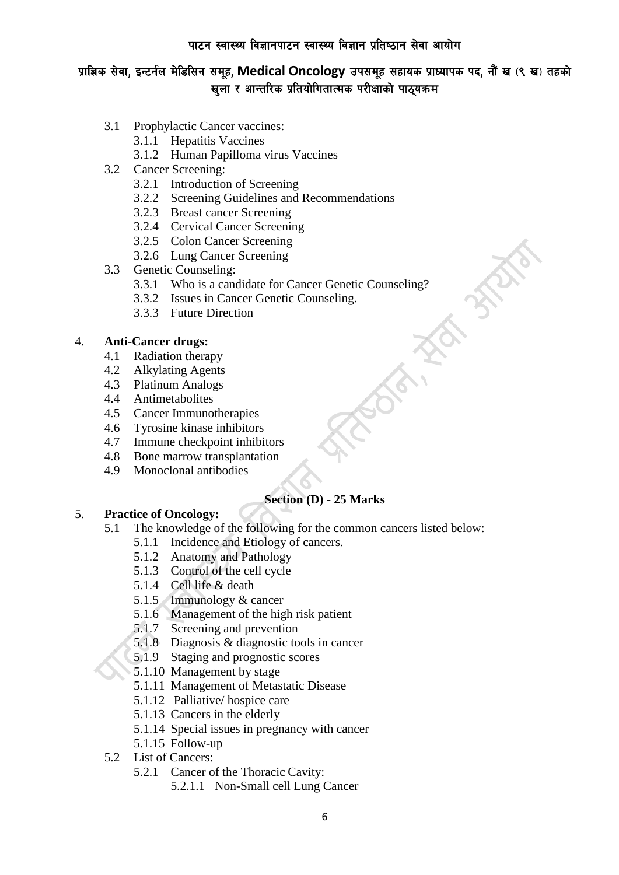## प्राज्ञिक सेवा, इन्टर्नल मेडिसिन समूह, Medical Oncology उपसमूह सहायक प्राध्यापक पद, नौं ख (९ ख) तहको खला र आन्तरिक प्रतियोगितात्मक परीक्षाको पाठयक्रम

- 3.1 Prophylactic Cancer vaccines:
	- 3.1.1 Hepatitis Vaccines
		- 3.1.2 Human Papilloma virus Vaccines
- 3.2 Cancer Screening:
	- 3.2.1 Introduction of Screening
	- 3.2.2 Screening Guidelines and Recommendations
	- 3.2.3 Breast cancer Screening
	- 3.2.4 Cervical Cancer Screening
	- 3.2.5 Colon Cancer Screening
	- 3.2.6 Lung Cancer Screening
- 3.3 Genetic Counseling:
	- 3.3.1 Who is a candidate for Cancer Genetic Counseling?
	- 3.3.2 Issues in Cancer Genetic Counseling.
	- 3.3.3 Future Direction

## 4. **Anti-Cancer drugs:**

- 4.1 Radiation therapy
- 4.2 Alkylating Agents
- 4.3 Platinum Analogs
- 4.4 Antimetabolites
- 4.5 Cancer Immunotherapies
- 4.6 Tyrosine kinase inhibitors
- 4.7 Immune checkpoint inhibitors
- 4.8 Bone marrow transplantation
- 4.9 Monoclonal antibodies

## **Section (D) - 25 Marks**

#### 5. **Practice of Oncology:**

- 5.1 The knowledge of the following for the common cancers listed below:
	- 5.1.1 Incidence and Etiology of cancers.
	- 5.1.2 Anatomy and Pathology
	- 5.1.3 Control of the cell cycle
	- 5.1.4 Cell life & death
	- 5.1.5 Immunology & cancer
	- 5.1.6 Management of the high risk patient
	- 5.1.7 Screening and prevention
	- 5.1.8 Diagnosis & diagnostic tools in cancer
	- 5.1.9 Staging and prognostic scores
	- 5.1.10 Management by stage
	- 5.1.11 Management of Metastatic Disease
	- 5.1.12 Palliative/ hospice care
	- 5.1.13 Cancers in the elderly
	- 5.1.14 Special issues in pregnancy with cancer
	- 5.1.15 Follow-up
- 5.2 List of Cancers:
	- 5.2.1 Cancer of the Thoracic Cavity:
		- 5.2.1.1 Non-Small cell Lung Cancer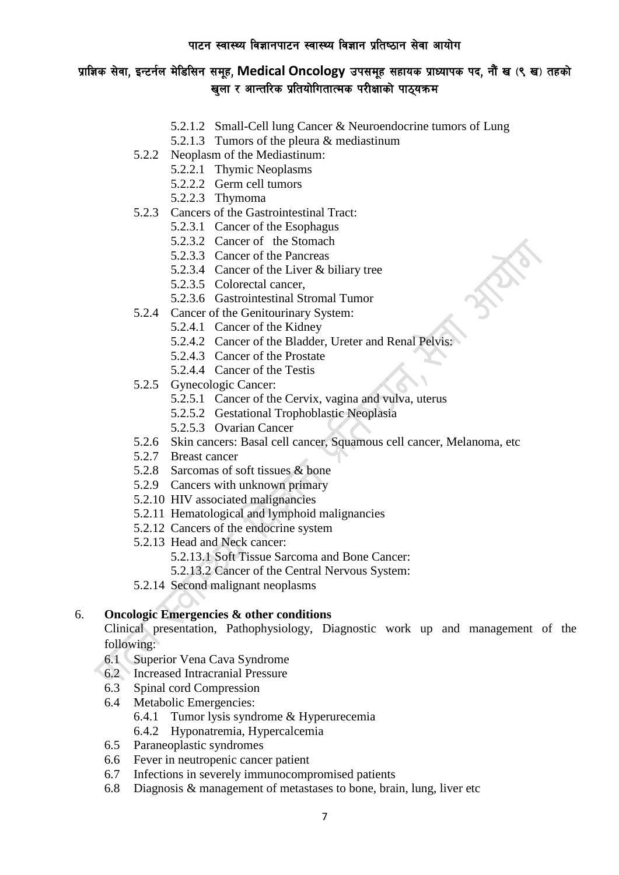# प्राज्ञिक सेवा, इन्टर्नल मेडिसिन समूह, Medical Oncology उपसमूह सहायक प्राध्यापक पद, नौं ख (९ ख) तहको खला र आन्तरिक प्रतियोगितात्मक परीक्षाको पाठयक्रम

- 5.2.1.2 Small-Cell lung Cancer & Neuroendocrine tumors of Lung
- 5.2.1.3 Tumors of the pleura & mediastinum
- 5.2.2 Neoplasm of the Mediastinum:
	- 5.2.2.1 Thymic Neoplasms
	- 5.2.2.2 Germ cell tumors
	- 5.2.2.3 Thymoma
- 5.2.3 Cancers of the Gastrointestinal Tract:
	- 5.2.3.1 Cancer of the Esophagus
	- 5.2.3.2 Cancer of the Stomach
	- 5.2.3.3 Cancer of the Pancreas
	- 5.2.3.4 Cancer of the Liver & biliary tree
	- 5.2.3.5 Colorectal cancer,
	- 5.2.3.6 Gastrointestinal Stromal Tumor
- 5.2.4 Cancer of the Genitourinary System:
	- 5.2.4.1 Cancer of the Kidney
	- 5.2.4.2 Cancer of the Bladder, Ureter and Renal Pelvis:
	- 5.2.4.3 Cancer of the Prostate
	- 5.2.4.4 Cancer of the Testis
- 5.2.5 Gynecologic Cancer:
	- 5.2.5.1 Cancer of the Cervix, vagina and vulva, uterus
	- 5.2.5.2 Gestational Trophoblastic Neoplasia
	- 5.2.5.3 Ovarian Cancer
- 5.2.6 Skin cancers: Basal cell cancer, Squamous cell cancer, Melanoma, etc
- 5.2.7 Breast cancer
- 5.2.8 Sarcomas of soft tissues & bone
- 5.2.9 Cancers with unknown primary
- 5.2.10 HIV associated malignancies
- 5.2.11 Hematological and lymphoid malignancies
- 5.2.12 Cancers of the endocrine system
- 5.2.13 Head and Neck cancer:
	- 5.2.13.1 Soft Tissue Sarcoma and Bone Cancer:
	- 5.2.13.2 Cancer of the Central Nervous System:
- 5.2.14 Second malignant neoplasms

#### 6. **Oncologic Emergencies & other conditions**

Clinical presentation, Pathophysiology, Diagnostic work up and management of the following:

- 6.1 Superior Vena Cava Syndrome
- 6.2 Increased Intracranial Pressure
- 6.3 Spinal cord Compression
- 6.4 Metabolic Emergencies:
	- 6.4.1 Tumor lysis syndrome & Hyperurecemia
	- 6.4.2 Hyponatremia, Hypercalcemia
- 6.5 Paraneoplastic syndromes
- 6.6 Fever in neutropenic cancer patient
- 6.7 Infections in severely immunocompromised patients
- 6.8 Diagnosis & management of metastases to bone, brain, lung, liver etc